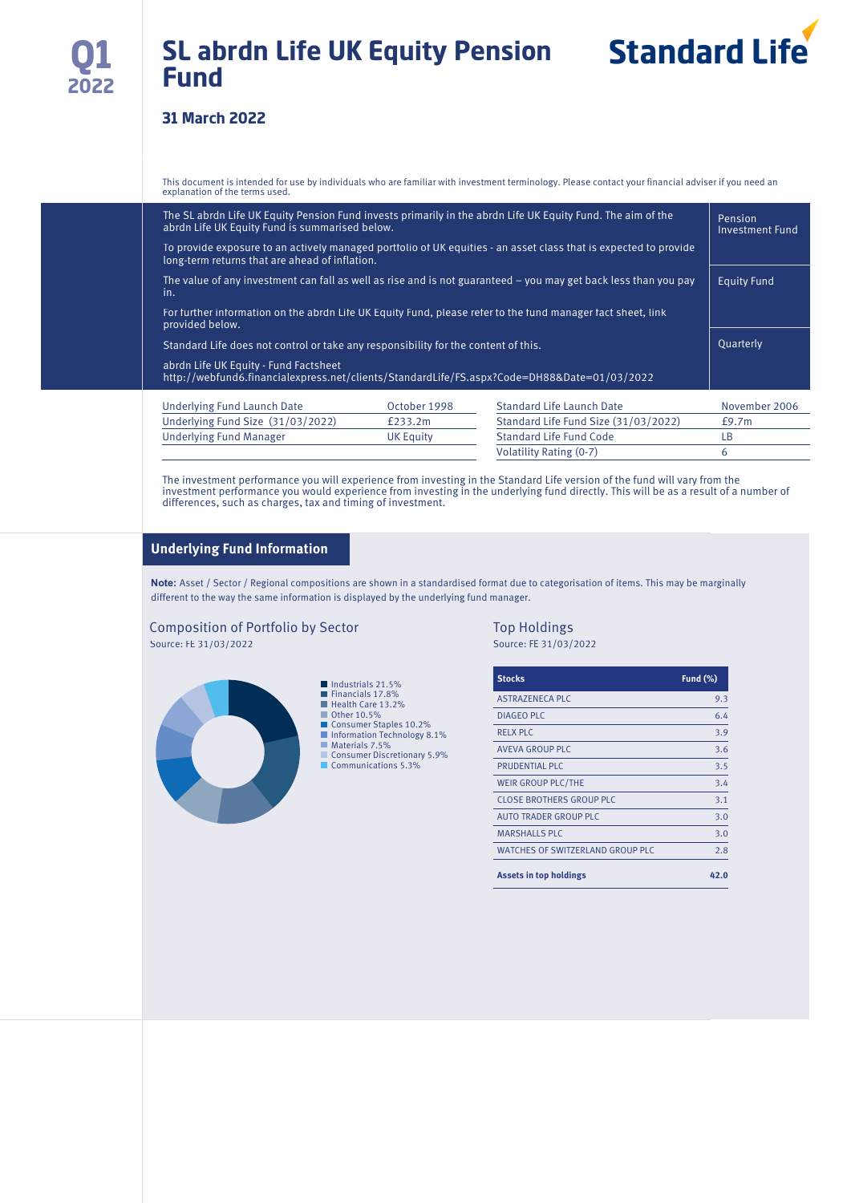# **SL abrdn Life UK Equity Pension Fund**



# **31 March 2022**

This document is intended for use by individuals who are familiar with investment terminology. Please contact your financial adviser if you need an explanation of the terms used.

| The SL abrdn Life UK Equity Pension Fund invests primarily in the abrdn Life UK Equity Fund. The aim of the<br>abrdn Life UK Equity Fund is summarised below.      | Pension<br><b>Investment Fund</b> |                                      |               |  |
|--------------------------------------------------------------------------------------------------------------------------------------------------------------------|-----------------------------------|--------------------------------------|---------------|--|
| To provide exposure to an actively managed portfolio of UK equities - an asset class that is expected to provide<br>long-term returns that are ahead of inflation. |                                   |                                      |               |  |
| The value of any investment can fall as well as rise and is not guaranteed – you may get back less than you pay<br>in.                                             | <b>Equity Fund</b>                |                                      |               |  |
| For further information on the abrdn Life UK Equity Fund, please refer to the fund manager fact sheet, link<br>provided below.                                     |                                   |                                      |               |  |
| Standard Life does not control or take any responsibility for the content of this.                                                                                 |                                   |                                      | Quarterly     |  |
| abrdn Life UK Equity - Fund Factsheet<br>http://webfund6.financialexpress.net/clients/StandardLife/FS.aspx?Code=DH88&Date=01/03/2022                               |                                   |                                      |               |  |
| Underlying Fund Launch Date                                                                                                                                        | October 1998                      | <b>Standard Life Launch Date</b>     | November 2006 |  |
| Underlying Fund Size (31/03/2022)                                                                                                                                  | £233.2m                           | Standard Life Fund Size (31/03/2022) | £9.7m         |  |

| Underlying Fund Manager | UK Equity | Standard Life Fund Code |  |
|-------------------------|-----------|-------------------------|--|
|                         |           | Volatility Rating (0-7) |  |
|                         |           |                         |  |

The investment performance you will experience from investing in the Standard Life version of the fund will vary from the investment performance you would experience from investing in the underlying fund directly. This will be as a result of a number of differences, such as charges, tax and timing of investment.

### **Underlying Fund Information**

**Note:** Asset / Sector / Regional compositions are shown in a standardised format due to categorisation of items. This may be marginally different to the way the same information is displayed by the underlying fund manager.

### Composition of Portfolio by Sector Top Holdings Source: FE 31/03/2022 Source: FE 31/03/2022



| <b>Stocks</b>                           | <b>Fund (%)</b> |
|-----------------------------------------|-----------------|
| <b>ASTRAZENECA PLC</b>                  | 9.3             |
| DIAGEO PLC                              | 6.4             |
| <b>RELX PLC</b>                         | 3.9             |
| AVEVA GROUP PLC                         | 3.6             |
| PRUDENTIAL PLC                          | 3.5             |
| WEIR GROUP PLC/THE                      | 3.4             |
| <b>CLOSE BROTHERS GROUP PLC</b>         | 3.1             |
| AUTO TRADER GROUP PLC                   | 3.0             |
| <b>MARSHALLS PLC</b>                    | 3.0             |
| <b>WATCHES OF SWITZERLAND GROUP PLC</b> | 2.8             |
| <b>Assets in top holdings</b>           | 42.0            |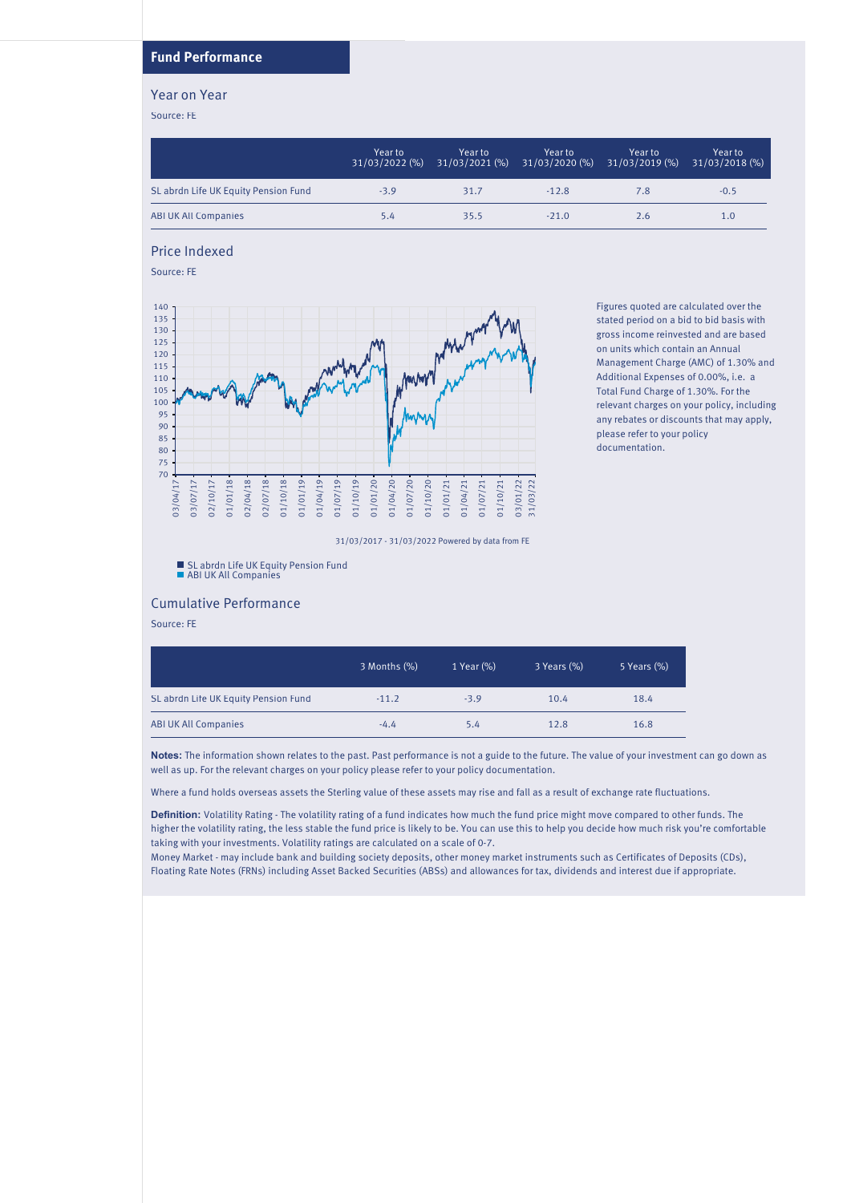## **Fund Performance**

### Year on Year

Source: FE

|                                      | Year to<br>$31/03/2022$ (%) | Year to | Year to<br>31/03/2021 (%) 31/03/2020 (%) | Year to<br>$31/03/2019$ (%) | Year to<br>31/03/2018 (%) |
|--------------------------------------|-----------------------------|---------|------------------------------------------|-----------------------------|---------------------------|
| SL abrdn Life UK Equity Pension Fund | $-3.9$                      | 31.7    | $-12.8$                                  | 7.8                         | $-0.5$                    |
| <b>ABI UK All Companies</b>          | 5.4                         | 35.5    | $-21.0$                                  | 2.6                         | 1.0                       |

Price Indexed

Source: FE



Figures quoted are calculated over the stated period on a bid to bid basis with gross income reinvested and are based on units which contain an Annual Management Charge (AMC) of 1.30% and Additional Expenses of 0.00%, i.e. a Total Fund Charge of 1.30%. For the relevant charges on your policy, including any rebates or discounts that may apply, please refer to your policy documentation.

31/03/2017 - 31/03/2022 Powered by data from FE

SL abrdn Life UK Equity Pension Fund ABI UK All Companies

### Cumulative Performance

Source: FE

|                                      | 3 Months (%) | 1 Year (%) | 3 Years (%) | 5 Years (%) |
|--------------------------------------|--------------|------------|-------------|-------------|
| SL abrdn Life UK Equity Pension Fund | $-11.2$      | $-3.9$     | 10.4        | 18.4        |
| <b>ABI UK All Companies</b>          | $-4.4$       | 5.4        | 12.8        | 16.8        |

**Notes:** The information shown relates to the past. Past performance is not a guide to the future. The value of your investment can go down as well as up. For the relevant charges on your policy please refer to your policy documentation.

Where a fund holds overseas assets the Sterling value of these assets may rise and fall as a result of exchange rate fluctuations.

**Definition:** Volatility Rating - The volatility rating of a fund indicates how much the fund price might move compared to other funds. The higher the volatility rating, the less stable the fund price is likely to be. You can use this to help you decide how much risk you're comfortable taking with your investments. Volatility ratings are calculated on a scale of 0-7.

Money Market - may include bank and building society deposits, other money market instruments such as Certificates of Deposits (CDs), Floating Rate Notes (FRNs) including Asset Backed Securities (ABSs) and allowances for tax, dividends and interest due if appropriate.